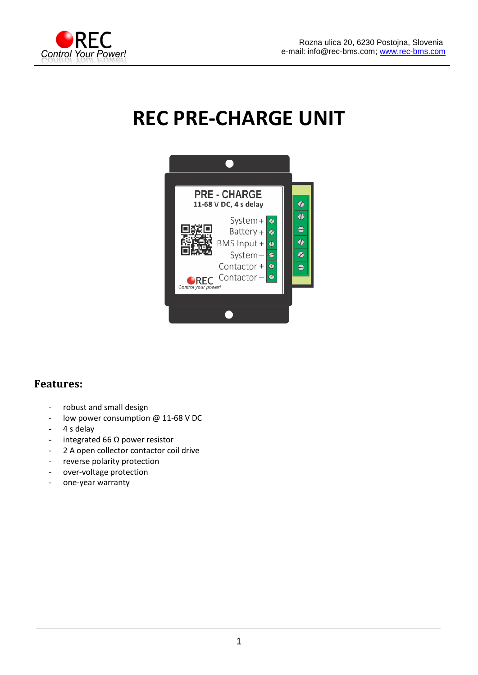

# **REC PRE-CHARGE UNIT**



#### **Features:**

- robust and small design
- low power consumption @ 11-68 V DC
- 4 s delay
- integrated 66 Ω power resistor
- 2 A open collector contactor coil drive
- reverse polarity protection
- over-voltage protection
- one-year warranty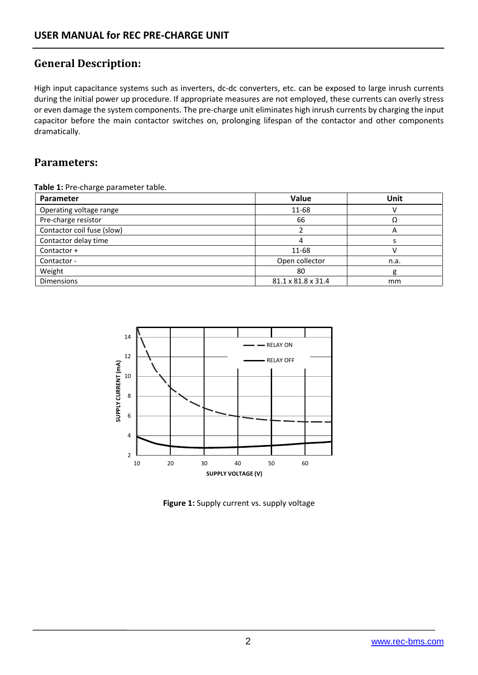## **General Description:**

High input capacitance systems such as inverters, dc-dc converters, etc. can be exposed to large inrush currents during the initial power up procedure. If appropriate measures are not employed, these currents can overly stress or even damage the system components. The pre-charge unit eliminates high inrush currents by charging the input capacitor before the main contactor switches on, prolonging lifespan of the contactor and other components dramatically.

### **Parameters:**

**Table 1:** Pre-charge parameter table.

| Parameter                  | Value              | Unit |
|----------------------------|--------------------|------|
| Operating voltage range    | 11-68              |      |
| Pre-charge resistor        | 66                 |      |
| Contactor coil fuse (slow) |                    | A    |
| Contactor delay time       |                    |      |
| Contactor +                | 11-68              |      |
| Contactor -                | Open collector     | n.a. |
| Weight                     | 80                 | g    |
| <b>Dimensions</b>          | 81.1 x 81.8 x 31.4 | mm   |



**Figure 1:** Supply current vs. supply voltage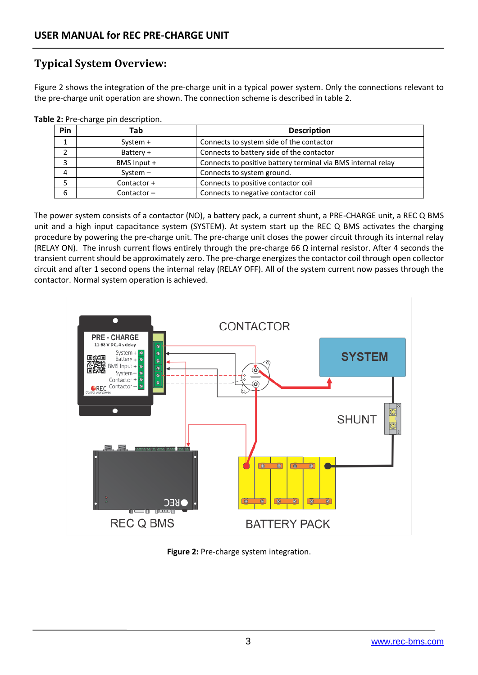## **Typical System Overview:**

Figure 2 shows the integration of the pre-charge unit in a typical power system. Only the connections relevant to the pre-charge unit operation are shown. The connection scheme is described in table 2.

| Pin | Tab           | <b>Description</b>                                           |
|-----|---------------|--------------------------------------------------------------|
|     | System $+$    | Connects to system side of the contactor                     |
|     | Battery +     | Connects to battery side of the contactor                    |
|     | BMS Input +   | Connects to positive battery terminal via BMS internal relay |
|     | $System -$    | Connects to system ground.                                   |
|     | Contactor +   | Connects to positive contactor coil                          |
| 6   | Contactor $-$ | Connects to negative contactor coil                          |

**Table 2: Pre-charge pin description.** 

The power system consists of a contactor (NO), a battery pack, a current shunt, a PRE-CHARGE unit, a REC Q BMS unit and a high input capacitance system (SYSTEM). At system start up the REC Q BMS activates the charging procedure by powering the pre-charge unit. The pre-charge unit closes the power circuit through its internal relay (RELAY ON). The inrush current flows entirely through the pre-charge 66  $\Omega$  internal resistor. After 4 seconds the transient current should be approximately zero. The pre-charge energizes the contactor coil through open collector circuit and after 1 second opens the internal relay (RELAY OFF). All of the system current now passes through the contactor. Normal system operation is achieved.



**Figure 2:** Pre-charge system integration.